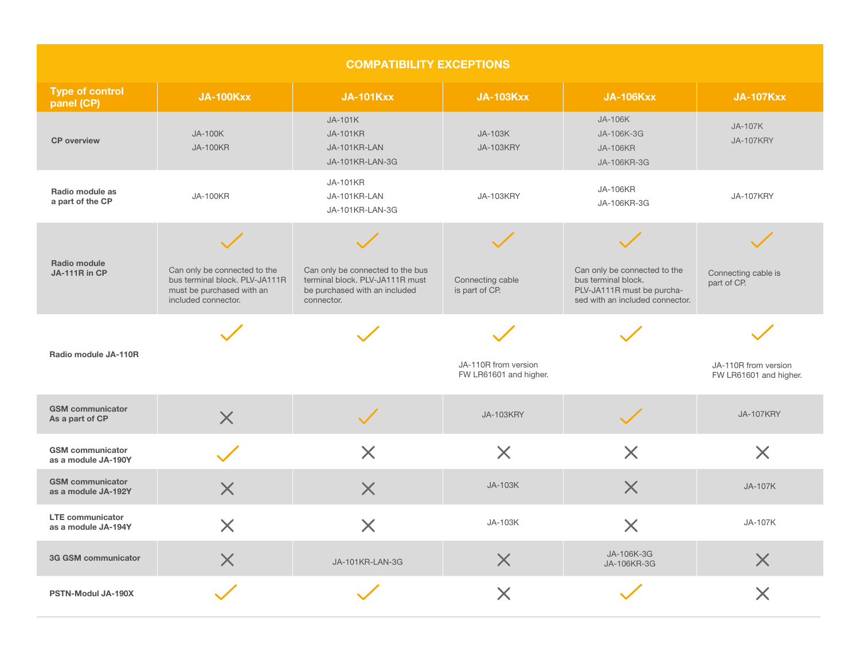| <b>COMPATIBILITY EXCEPTIONS</b>                |                                                                                                                    |                                                                                                                    |                                                |                                                                                                                      |                                                |  |  |  |
|------------------------------------------------|--------------------------------------------------------------------------------------------------------------------|--------------------------------------------------------------------------------------------------------------------|------------------------------------------------|----------------------------------------------------------------------------------------------------------------------|------------------------------------------------|--|--|--|
| <b>Type of control</b><br>panel (CP)           | <b>JA-100Kxx</b>                                                                                                   | <b>JA-101Kxx</b>                                                                                                   | <b>JA-103Kxx</b>                               | <b>JA-106Kxx</b>                                                                                                     | <b>JA-107Kxx</b>                               |  |  |  |
| <b>CP</b> overview                             | <b>JA-100K</b><br><b>JA-100KR</b>                                                                                  | JA-101K<br><b>JA-101KR</b><br>JA-101KR-LAN<br>JA-101KR-LAN-3G                                                      | JA-103K<br><b>JA-103KRY</b>                    | JA-106K<br>JA-106K-3G<br><b>JA-106KR</b><br>JA-106KR-3G                                                              | JA-107K<br><b>JA-107KRY</b>                    |  |  |  |
| Radio module as<br>a part of the CP            | <b>JA-100KR</b>                                                                                                    | <b>JA-101KR</b><br>JA-101KR-LAN<br>JA-101KR-LAN-3G                                                                 | JA-103KRY                                      | <b>JA-106KR</b><br>JA-106KR-3G                                                                                       | <b>JA-107KRY</b>                               |  |  |  |
| Radio module<br>JA-111R in CP                  | Can only be connected to the<br>bus terminal block. PLV-JA111R<br>must be purchased with an<br>included connector. | Can only be connected to the bus<br>terminal block. PLV-JA111R must<br>be purchased with an included<br>connector. | Connecting cable<br>is part of CP.             | Can only be connected to the<br>bus terminal block.<br>PLV-JA111R must be purcha-<br>sed with an included connector. | Connecting cable is<br>part of CP.             |  |  |  |
| Radio module JA-110R                           |                                                                                                                    |                                                                                                                    | JA-110R from version<br>FW LR61601 and higher. |                                                                                                                      | JA-110R from version<br>FW LR61601 and higher. |  |  |  |
| <b>GSM</b> communicator<br>As a part of CP     | $\times$                                                                                                           |                                                                                                                    | <b>JA-103KRY</b>                               |                                                                                                                      | <b>JA-107KRY</b>                               |  |  |  |
| <b>GSM</b> communicator<br>as a module JA-190Y |                                                                                                                    | $\times$                                                                                                           | $\times$                                       | $\times$                                                                                                             | X                                              |  |  |  |
| <b>GSM</b> communicator<br>as a module JA-192Y |                                                                                                                    | $\bm{\mathsf{X}}$                                                                                                  | JA-103K                                        | $\bm{\mathsf{X}}$                                                                                                    | <b>JA-107K</b>                                 |  |  |  |
| <b>LTE communicator</b><br>as a module JA-194Y | $\bm{\mathsf{X}}$                                                                                                  | $\times$                                                                                                           | JA-103K                                        | $\times$                                                                                                             | JA-107K                                        |  |  |  |
| 3G GSM communicator                            | $\times$                                                                                                           | JA-101KR-LAN-3G                                                                                                    | X                                              | JA-106K-3G<br>JA-106KR-3G                                                                                            | $\times$                                       |  |  |  |
| PSTN-Modul JA-190X                             |                                                                                                                    |                                                                                                                    | $\times$                                       |                                                                                                                      | $\times$                                       |  |  |  |